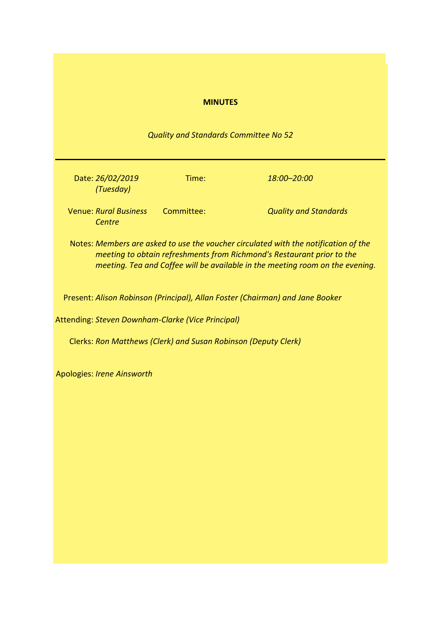| <b>MINUTES</b>                                                                                                                                                                                                                                 |
|------------------------------------------------------------------------------------------------------------------------------------------------------------------------------------------------------------------------------------------------|
| Quality and Standards Committee No 52                                                                                                                                                                                                          |
| Date: 26/02/2019<br>Time:<br>18:00-20:00<br>(Tuesday)                                                                                                                                                                                          |
| <b>Venue: Rural Business</b><br>Committee:<br><b>Quality and Standards</b><br>Centre                                                                                                                                                           |
| Notes: Members are asked to use the voucher circulated with the notification of the<br>meeting to obtain refreshments from Richmond's Restaurant prior to the<br>meeting. Tea and Coffee will be available in the meeting room on the evening. |
| Present: Alison Robinson (Principal), Allan Foster (Chairman) and Jane Booker                                                                                                                                                                  |
| Attending: Steven Downham-Clarke (Vice Principal)                                                                                                                                                                                              |
| Clerks: Ron Matthews (Clerk) and Susan Robinson (Deputy Clerk)                                                                                                                                                                                 |
| <b>Apologies: Irene Ainsworth</b>                                                                                                                                                                                                              |
|                                                                                                                                                                                                                                                |
|                                                                                                                                                                                                                                                |
|                                                                                                                                                                                                                                                |
|                                                                                                                                                                                                                                                |
|                                                                                                                                                                                                                                                |
|                                                                                                                                                                                                                                                |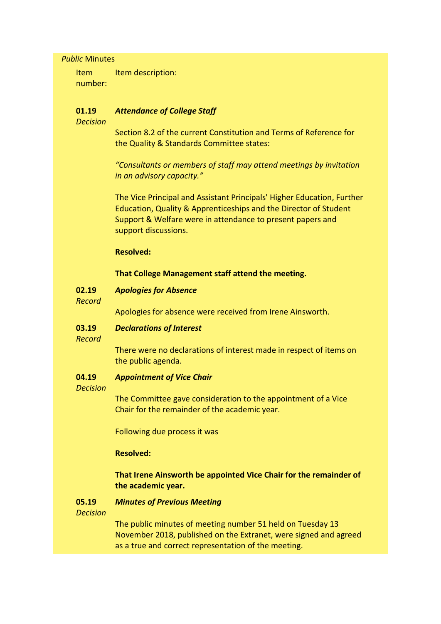### *Public* Minutes

Item number: Item description:

#### **01.19** *Attendance of College Staff*

*Decision*

Section 8.2 of the current Constitution and Terms of Reference for the Quality & Standards Committee states:

*"Consultants or members of staff may attend meetings by invitation in an advisory capacity."*

The Vice Principal and Assistant Principals' Higher Education, Further Education, Quality & Apprenticeships and the Director of Student Support & Welfare were in attendance to present papers and support discussions.

## **Resolved:**

## **That College Management staff attend the meeting.**

- **02.19** *Apologies for Absence*
- *Record*

Apologies for absence were received from Irene Ainsworth.

#### **03.19** *Declarations of Interest*

*Record*

There were no declarations of interest made in respect of items on the public agenda.

#### **04.19** *Appointment of Vice Chair*

### *Decision*

The Committee gave consideration to the appointment of a Vice Chair for the remainder of the academic year.

Following due process it was

# **Resolved:**

# **That Irene Ainsworth be appointed Vice Chair for the remainder of the academic year.**

#### **05.19** *Minutes of Previous Meeting*

*Decision*

The public minutes of meeting number 51 held on Tuesday 13 November 2018, published on the Extranet, were signed and agreed as a true and correct representation of the meeting.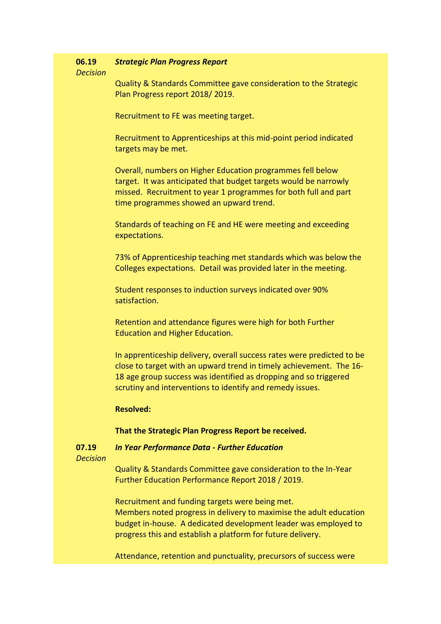#### **06.19** *Strategic Plan Progress Report*

## *Decision*

Quality & Standards Committee gave consideration to the Strategic Plan Progress report 2018/ 2019.

Recruitment to FE was meeting target.

Recruitment to Apprenticeships at this mid-point period indicated targets may be met.

Overall, numbers on Higher Education programmes fell below target. It was anticipated that budget targets would be narrowly missed. Recruitment to year 1 programmes for both full and part time programmes showed an upward trend.

Standards of teaching on FE and HE were meeting and exceeding expectations.

73% of Apprenticeship teaching met standards which was below the Colleges expectations. Detail was provided later in the meeting.

Student responses to induction surveys indicated over 90% satisfaction.

Retention and attendance figures were high for both Further Education and Higher Education.

In apprenticeship delivery, overall success rates were predicted to be close to target with an upward trend in timely achievement. The 16- 18 age group success was identified as dropping and so triggered scrutiny and interventions to identify and remedy issues.

## **Resolved:**

## **That the Strategic Plan Progress Report be received.**

**07.19** *In Year Performance Data - Further Education*

*Decision*

Quality & Standards Committee gave consideration to the In-Year Further Education Performance Report 2018 / 2019.

Recruitment and funding targets were being met. Members noted progress in delivery to maximise the adult education budget in-house. A dedicated development leader was employed to progress this and establish a platform for future delivery.

Attendance, retention and punctuality, precursors of success were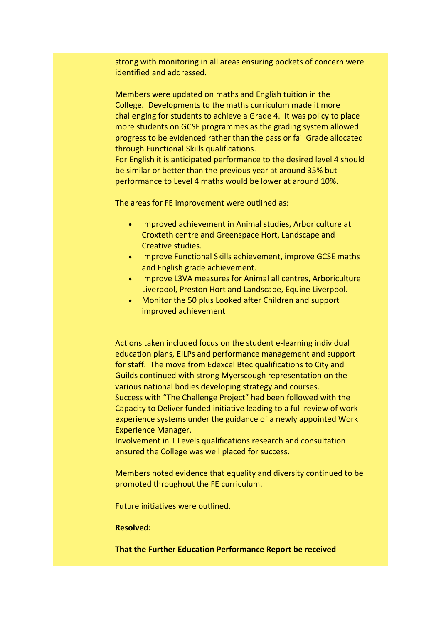strong with monitoring in all areas ensuring pockets of concern were identified and addressed.

Members were updated on maths and English tuition in the College. Developments to the maths curriculum made it more challenging for students to achieve a Grade 4. It was policy to place more students on GCSE programmes as the grading system allowed progress to be evidenced rather than the pass or fail Grade allocated through Functional Skills qualifications.

For English it is anticipated performance to the desired level 4 should be similar or better than the previous year at around 35% but performance to Level 4 maths would be lower at around 10%.

The areas for FE improvement were outlined as:

- Improved achievement in Animal studies, Arboriculture at Croxteth centre and Greenspace Hort, Landscape and Creative studies.
- Improve Functional Skills achievement, improve GCSE maths and English grade achievement.
- Improve L3VA measures for Animal all centres, Arboriculture Liverpool, Preston Hort and Landscape, Equine Liverpool.
- Monitor the 50 plus Looked after Children and support improved achievement

Actions taken included focus on the student e-learning individual education plans, EILPs and performance management and support for staff. The move from Edexcel Btec qualifications to City and Guilds continued with strong Myerscough representation on the various national bodies developing strategy and courses. Success with "The Challenge Project" had been followed with the Capacity to Deliver funded initiative leading to a full review of work experience systems under the guidance of a newly appointed Work Experience Manager.

Involvement in T Levels qualifications research and consultation ensured the College was well placed for success.

Members noted evidence that equality and diversity continued to be promoted throughout the FE curriculum.

Future initiatives were outlined.

### **Resolved:**

**That the Further Education Performance Report be received**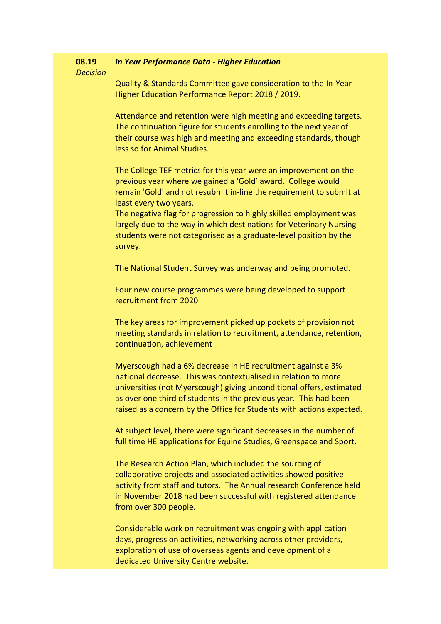#### **08.19** *In Year Performance Data - Higher Education*

*Decision*

Quality & Standards Committee gave consideration to the In-Year Higher Education Performance Report 2018 / 2019.

Attendance and retention were high meeting and exceeding targets. The continuation figure for students enrolling to the next year of their course was high and meeting and exceeding standards, though less so for Animal Studies.

The College TEF metrics for this year were an improvement on the previous year where we gained a 'Gold' award. College would remain 'Gold' and not resubmit in-line the requirement to submit at least every two years.

The negative flag for progression to highly skilled employment was largely due to the way in which destinations for Veterinary Nursing students were not categorised as a graduate-level position by the survey.

The National Student Survey was underway and being promoted.

Four new course programmes were being developed to support recruitment from 2020

The key areas for improvement picked up pockets of provision not meeting standards in relation to recruitment, attendance, retention, continuation, achievement

Myerscough had a 6% decrease in HE recruitment against a 3% national decrease. This was contextualised in relation to more universities (not Myerscough) giving unconditional offers, estimated as over one third of students in the previous year. This had been raised as a concern by the Office for Students with actions expected.

At subject level, there were significant decreases in the number of full time HE applications for Equine Studies, Greenspace and Sport.

The Research Action Plan, which included the sourcing of collaborative projects and associated activities showed positive activity from staff and tutors. The Annual research Conference held in November 2018 had been successful with registered attendance from over 300 people.

Considerable work on recruitment was ongoing with application days, progression activities, networking across other providers, exploration of use of overseas agents and development of a dedicated University Centre website.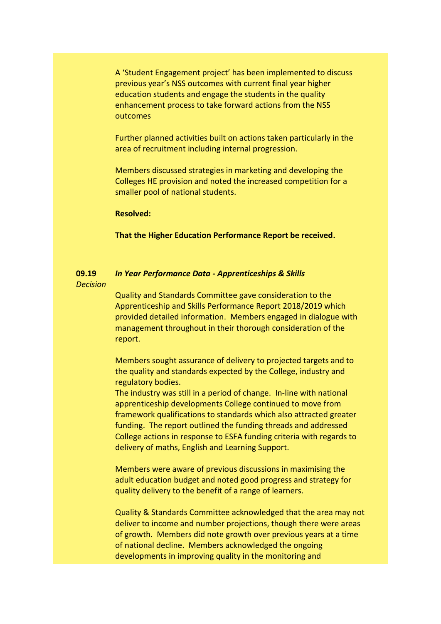A 'Student Engagement project' has been implemented to discuss previous year's NSS outcomes with current final year higher education students and engage the students in the quality enhancement process to take forward actions from the NSS outcomes

Further planned activities built on actions taken particularly in the area of recruitment including internal progression.

Members discussed strategies in marketing and developing the Colleges HE provision and noted the increased competition for a smaller pool of national students.

### **Resolved:**

**That the Higher Education Performance Report be received.**

### **09.19** *Decision In Year Performance Data - Apprenticeships & Skills*

Quality and Standards Committee gave consideration to the Apprenticeship and Skills Performance Report 2018/2019 which provided detailed information. Members engaged in dialogue with management throughout in their thorough consideration of the report.

Members sought assurance of delivery to projected targets and to the quality and standards expected by the College, industry and regulatory bodies.

The industry was still in a period of change. In-line with national apprenticeship developments College continued to move from framework qualifications to standards which also attracted greater funding. The report outlined the funding threads and addressed College actions in response to ESFA funding criteria with regards to delivery of maths, English and Learning Support.

Members were aware of previous discussions in maximising the adult education budget and noted good progress and strategy for quality delivery to the benefit of a range of learners.

Quality & Standards Committee acknowledged that the area may not deliver to income and number projections, though there were areas of growth. Members did note growth over previous years at a time of national decline. Members acknowledged the ongoing developments in improving quality in the monitoring and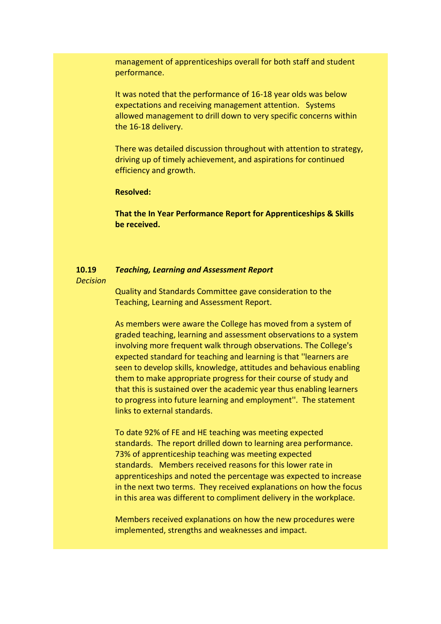management of apprenticeships overall for both staff and student performance.

It was noted that the performance of 16-18 year olds was below expectations and receiving management attention. Systems allowed management to drill down to very specific concerns within the 16-18 delivery.

There was detailed discussion throughout with attention to strategy, driving up of timely achievement, and aspirations for continued efficiency and growth.

## **Resolved:**

**That the In Year Performance Report for Apprenticeships & Skills be received.**

#### **10.19** *Teaching, Learning and Assessment Report*

### *Decision*

Quality and Standards Committee gave consideration to the Teaching, Learning and Assessment Report.

As members were aware the College has moved from a system of graded teaching, learning and assessment observations to a system involving more frequent walk through observations. The College's expected standard for teaching and learning is that ''learners are seen to develop skills, knowledge, attitudes and behavious enabling them to make appropriate progress for their course of study and that this is sustained over the academic year thus enabling learners to progress into future learning and employment''. The statement links to external standards.

To date 92% of FE and HE teaching was meeting expected standards. The report drilled down to learning area performance. 73% of apprenticeship teaching was meeting expected standards. Members received reasons for this lower rate in apprenticeships and noted the percentage was expected to increase in the next two terms. They received explanations on how the focus in this area was different to compliment delivery in the workplace.

Members received explanations on how the new procedures were implemented, strengths and weaknesses and impact.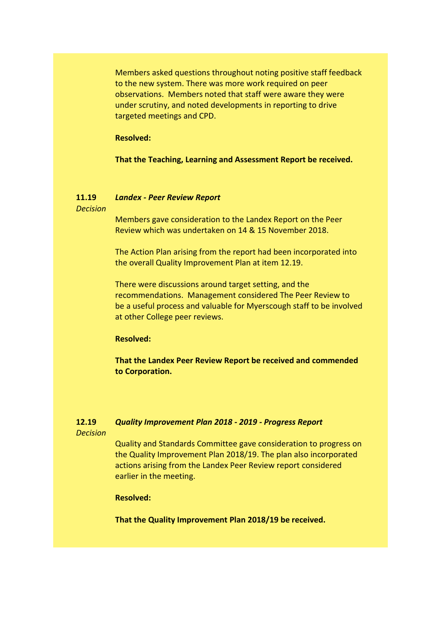Members asked questions throughout noting positive staff feedback to the new system. There was more work required on peer observations. Members noted that staff were aware they were under scrutiny, and noted developments in reporting to drive targeted meetings and CPD.

### **Resolved:**

**That the Teaching, Learning and Assessment Report be received.**

#### **11.19** *Landex - Peer Review Report*

*Decision*

Members gave consideration to the Landex Report on the Peer Review which was undertaken on 14 & 15 November 2018.

The Action Plan arising from the report had been incorporated into the overall Quality Improvement Plan at item 12.19.

There were discussions around target setting, and the recommendations. Management considered The Peer Review to be a useful process and valuable for Myerscough staff to be involved at other College peer reviews.

### **Resolved:**

**That the Landex Peer Review Report be received and commended to Corporation.**

### **12.19** *Quality Improvement Plan 2018 - 2019 - Progress Report*

*Decision*

Quality and Standards Committee gave consideration to progress on the Quality Improvement Plan 2018/19. The plan also incorporated actions arising from the Landex Peer Review report considered earlier in the meeting.

## **Resolved:**

**That the Quality Improvement Plan 2018/19 be received.**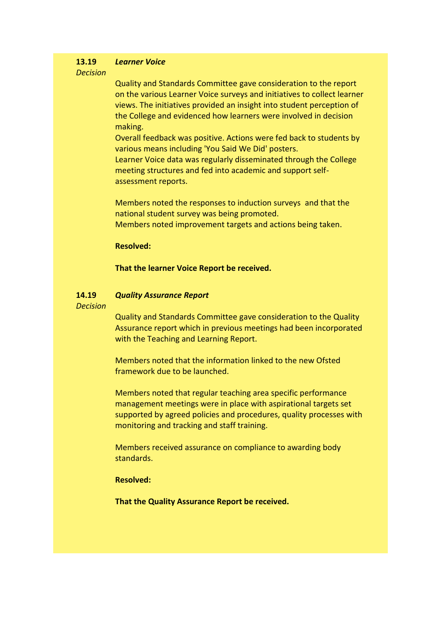#### **13.19** *Learner Voice*

## *Decision*

Quality and Standards Committee gave consideration to the report on the various Learner Voice surveys and initiatives to collect learner views. The initiatives provided an insight into student perception of the College and evidenced how learners were involved in decision making.

Overall feedback was positive. Actions were fed back to students by various means including 'You Said We Did' posters.

Learner Voice data was regularly disseminated through the College meeting structures and fed into academic and support selfassessment reports.

Members noted the responses to induction surveys and that the national student survey was being promoted. Members noted improvement targets and actions being taken.

### **Resolved:**

### **That the learner Voice Report be received.**

#### **14.19** *Quality Assurance Report*

## *Decision*

Quality and Standards Committee gave consideration to the Quality Assurance report which in previous meetings had been incorporated with the Teaching and Learning Report.

Members noted that the information linked to the new Ofsted framework due to be launched.

Members noted that regular teaching area specific performance management meetings were in place with aspirational targets set supported by agreed policies and procedures, quality processes with monitoring and tracking and staff training.

Members received assurance on compliance to awarding body standards.

### **Resolved:**

**That the Quality Assurance Report be received.**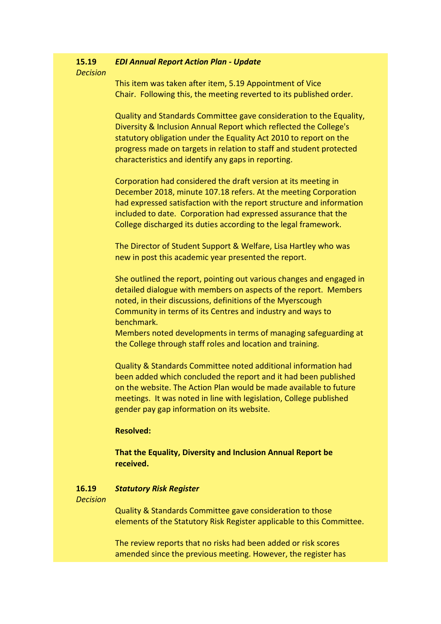#### **15.19** *EDI Annual Report Action Plan - Update*

*Decision*

This item was taken after item, 5.19 Appointment of Vice Chair. Following this, the meeting reverted to its published order.

Quality and Standards Committee gave consideration to the Equality, Diversity & Inclusion Annual Report which reflected the College's statutory obligation under the Equality Act 2010 to report on the progress made on targets in relation to staff and student protected characteristics and identify any gaps in reporting.

Corporation had considered the draft version at its meeting in December 2018, minute 107.18 refers. At the meeting Corporation had expressed satisfaction with the report structure and information included to date. Corporation had expressed assurance that the College discharged its duties according to the legal framework.

The Director of Student Support & Welfare, Lisa Hartley who was new in post this academic year presented the report.

She outlined the report, pointing out various changes and engaged in detailed dialogue with members on aspects of the report. Members noted, in their discussions, definitions of the Myerscough Community in terms of its Centres and industry and ways to benchmark.

Members noted developments in terms of managing safeguarding at the College through staff roles and location and training.

Quality & Standards Committee noted additional information had been added which concluded the report and it had been published on the website. The Action Plan would be made available to future meetings. It was noted in line with legislation, College published gender pay gap information on its website.

## **Resolved:**

# **That the Equality, Diversity and Inclusion Annual Report be received.**

#### **16.19** *Statutory Risk Register*

### *Decision*

Quality & Standards Committee gave consideration to those elements of the Statutory Risk Register applicable to this Committee.

The review reports that no risks had been added or risk scores amended since the previous meeting. However, the register has